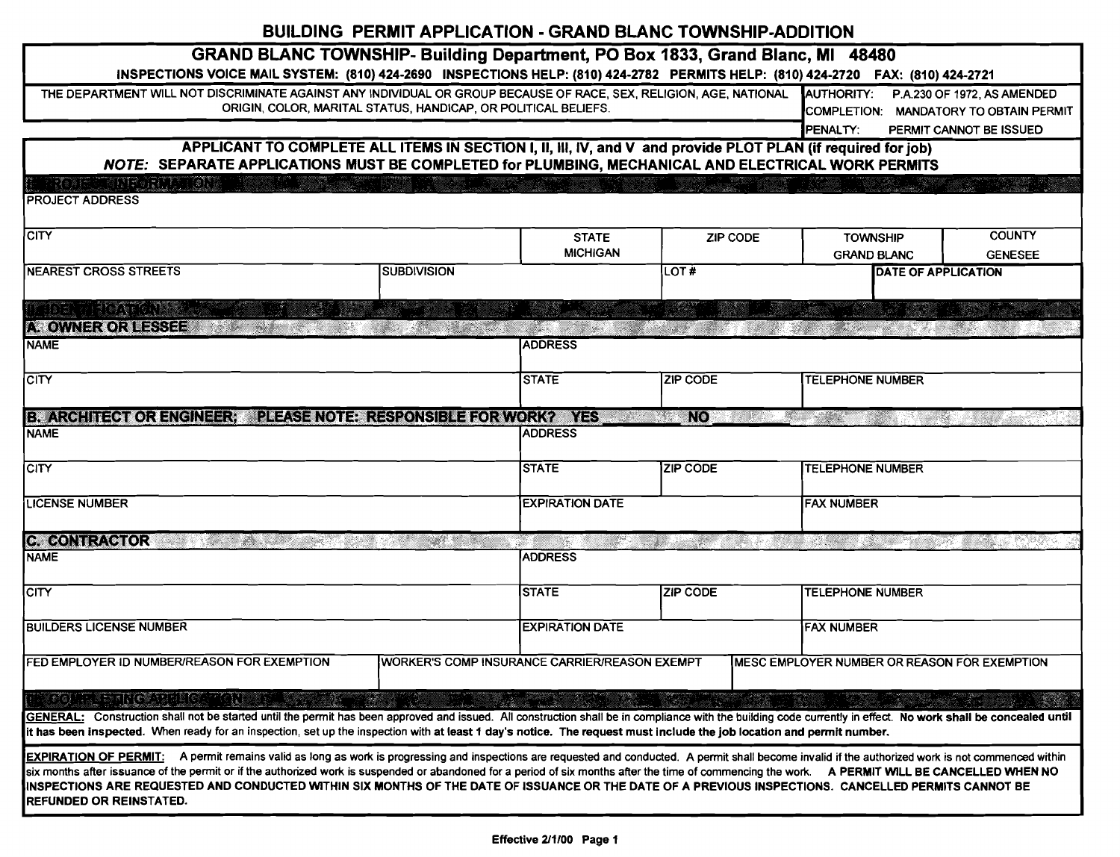## BUILDING PERMIT APPLICATION - GRAND BLANC TOWNSHIP-ADDITION

| <b>GRAND BLANC TOWNSHIP- Building Department, PO Box 1833, Grand Blanc, MI 48480</b>                                                                                                                           |                                                                |                                                      |                 |                                              |                             |  |  |
|----------------------------------------------------------------------------------------------------------------------------------------------------------------------------------------------------------------|----------------------------------------------------------------|------------------------------------------------------|-----------------|----------------------------------------------|-----------------------------|--|--|
| INSPECTIONS VOICE MAIL SYSTEM: (810) 424-2690 INSPECTIONS HELP: (810) 424-2782 PERMITS HELP: (810) 424-2720 FAX: (810) 424-2721                                                                                |                                                                |                                                      |                 |                                              |                             |  |  |
| THE DEPARTMENT WILL NOT DISCRIMINATE AGAINST ANY INDIVIDUAL OR GROUP BECAUSE OF RACE, SEX, RELIGION, AGE, NATIONAL                                                                                             |                                                                |                                                      |                 | AUTHORITY:                                   | P.A.230 OF 1972, AS AMENDED |  |  |
|                                                                                                                                                                                                                | ORIGIN, COLOR, MARITAL STATUS, HANDICAP, OR POLITICAL BELIEFS. |                                                      |                 | COMPLETION: MANDATORY TO OBTAIN PERMIT       |                             |  |  |
|                                                                                                                                                                                                                |                                                                |                                                      |                 | PENALTY:                                     | PERMIT CANNOT BE ISSUED     |  |  |
| APPLICANT TO COMPLETE ALL ITEMS IN SECTION I, II, III, IV, and V and provide PLOT PLAN (if required for job)                                                                                                   |                                                                |                                                      |                 |                                              |                             |  |  |
| NOTE: SEPARATE APPLICATIONS MUST BE COMPLETED for PLUMBING, MECHANICAL AND ELECTRICAL WORK PERMITS                                                                                                             |                                                                |                                                      |                 |                                              |                             |  |  |
| ROJE JEST PORTO KONA<br><b>PROJECT ADDRESS</b>                                                                                                                                                                 |                                                                |                                                      |                 |                                              |                             |  |  |
|                                                                                                                                                                                                                |                                                                |                                                      |                 |                                              |                             |  |  |
| <b>CITY</b>                                                                                                                                                                                                    |                                                                | <b>STATE</b>                                         | ZIP CODE        | <b>TOWNSHIP</b>                              | <b>COUNTY</b>               |  |  |
|                                                                                                                                                                                                                |                                                                | <b>MICHIGAN</b>                                      |                 | <b>GRAND BLANC</b>                           | <b>GENESEE</b>              |  |  |
| <b>INEAREST CROSS STREETS</b>                                                                                                                                                                                  | <b>SUBDIVISION</b>                                             |                                                      | LOT#            | <b>DATE OF APPLICATION</b>                   |                             |  |  |
|                                                                                                                                                                                                                |                                                                |                                                      |                 |                                              |                             |  |  |
|                                                                                                                                                                                                                |                                                                |                                                      |                 |                                              |                             |  |  |
| A. OWNER OR LESSEE                                                                                                                                                                                             |                                                                |                                                      |                 |                                              |                             |  |  |
| <b>NAME</b>                                                                                                                                                                                                    |                                                                | <b>ADDRESS</b>                                       |                 |                                              |                             |  |  |
|                                                                                                                                                                                                                |                                                                |                                                      |                 |                                              |                             |  |  |
| <b>CITY</b>                                                                                                                                                                                                    |                                                                | <b>STATE</b>                                         | ZIP CODE        | <b>TELEPHONE NUMBER</b>                      |                             |  |  |
|                                                                                                                                                                                                                |                                                                |                                                      |                 |                                              |                             |  |  |
| <b>B. ARCHITECT OR ENGINEER:</b>                                                                                                                                                                               | PLEASE NOTE: RESPONSIBLE FOR WORK?                             | NS)                                                  | N <sub>0</sub>  |                                              |                             |  |  |
| <b>NAME</b>                                                                                                                                                                                                    |                                                                | <b>ADDRESS</b>                                       |                 |                                              |                             |  |  |
| $\overline{\text{CITY}}$                                                                                                                                                                                       |                                                                | <b>STATE</b>                                         | ZIP CODE        | <b>TELEPHONE NUMBER</b>                      |                             |  |  |
|                                                                                                                                                                                                                |                                                                |                                                      |                 |                                              |                             |  |  |
| <b>LICENSE NUMBER</b>                                                                                                                                                                                          |                                                                | <b>EXPIRATION DATE</b>                               |                 | <b>FAX NUMBER</b>                            |                             |  |  |
|                                                                                                                                                                                                                |                                                                |                                                      |                 |                                              |                             |  |  |
| C. CONTRACTOR<br>a m                                                                                                                                                                                           |                                                                |                                                      |                 | an masaran                                   |                             |  |  |
| <b>NAME</b>                                                                                                                                                                                                    |                                                                | <b>ADDRESS</b>                                       |                 |                                              |                             |  |  |
|                                                                                                                                                                                                                |                                                                |                                                      |                 |                                              |                             |  |  |
| $\overline{\text{CITY}}$                                                                                                                                                                                       |                                                                | <b>STATE</b>                                         | <b>ZIP CODE</b> | <b>TELEPHONE NUMBER</b>                      |                             |  |  |
|                                                                                                                                                                                                                |                                                                |                                                      |                 |                                              |                             |  |  |
| <b>BUILDERS LICENSE NUMBER</b>                                                                                                                                                                                 |                                                                | <b>EXPIRATION DATE</b>                               |                 | <b>FAX NUMBER</b>                            |                             |  |  |
| FED EMPLOYER ID NUMBER/REASON FOR EXEMPTION                                                                                                                                                                    |                                                                |                                                      |                 |                                              |                             |  |  |
|                                                                                                                                                                                                                |                                                                | <b>WORKER'S COMP INSURANCE CARRIER/REASON EXEMPT</b> |                 | MESC EMPLOYER NUMBER OR REASON FOR EXEMPTION |                             |  |  |
| San Caluelota (d.<br>96)                                                                                                                                                                                       |                                                                |                                                      |                 |                                              |                             |  |  |
| GENERAL: Construction shall not be started until the permit has been approved and issued. All construction shall be in compliance with the building code currently in effect. No work shall be concealed until |                                                                |                                                      |                 |                                              |                             |  |  |
| it has been inspected. When ready for an inspection, set up the inspection with at least 1 day's notice. The request must include the job location and permit number.                                          |                                                                |                                                      |                 |                                              |                             |  |  |
| EXPIRATION OF PERMIT: A permit remains valid as long as work is progressing and inspections are requested and conducted. A permit shall become invalid if the authorized work is not commenced within          |                                                                |                                                      |                 |                                              |                             |  |  |
| six months after issuance of the permit or if the authonzed work is suspended or abandoned for a period of six months after the time of commencing the work. A PERMIT WILL BE CANCELLED WHEN NO                |                                                                |                                                      |                 |                                              |                             |  |  |
| INSPECTIONS ARE REQUESTED AND CONDUCTED WITHIN SIX MONTHS OF THE DATE OF ISSUANCE OR THE DATE OF A PREVIOUS INSPECTIONS. CANCELLED PERMITS CANNOT BE                                                           |                                                                |                                                      |                 |                                              |                             |  |  |
| <b>REFUNDED OR REINSTATED.</b>                                                                                                                                                                                 |                                                                |                                                      |                 |                                              |                             |  |  |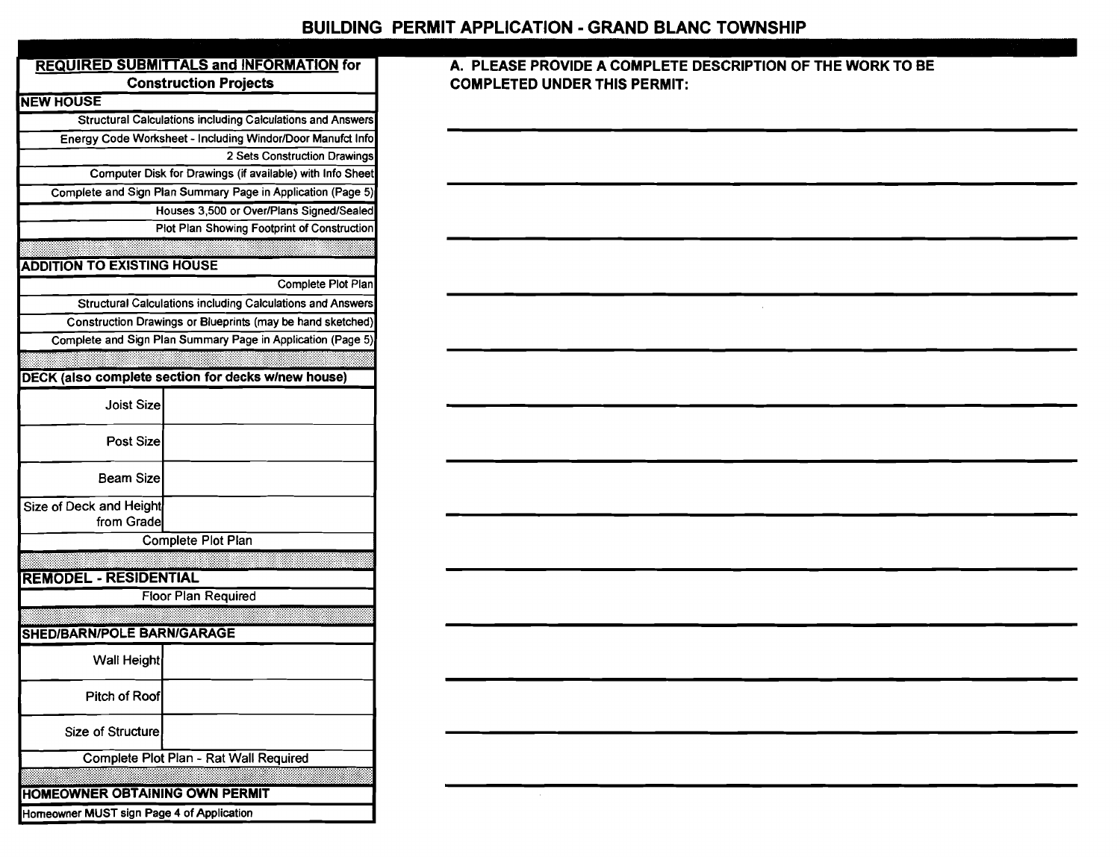|                                           | <b>REQUIRED SUBMITTALS and INFORMATION for</b>              |  |  |  |  |  |  |
|-------------------------------------------|-------------------------------------------------------------|--|--|--|--|--|--|
| <b>Construction Projects</b>              |                                                             |  |  |  |  |  |  |
| <b>NEW HOUSE</b>                          |                                                             |  |  |  |  |  |  |
|                                           | Structural Calculations including Calculations and Answers  |  |  |  |  |  |  |
|                                           | Energy Code Worksheet - Including Windor/Door Manufct Info  |  |  |  |  |  |  |
|                                           | 2 Sets Construction Drawings                                |  |  |  |  |  |  |
|                                           | Computer Disk for Drawings (if available) with Info Sheet   |  |  |  |  |  |  |
|                                           | Complete and Sign Plan Summary Page in Application (Page 5) |  |  |  |  |  |  |
|                                           | Houses 3,500 or Over/Plans Signed/Sealed                    |  |  |  |  |  |  |
|                                           | Plot Plan Showing Footprint of Construction                 |  |  |  |  |  |  |
|                                           |                                                             |  |  |  |  |  |  |
| <b>ADDITION TO EXISTING HOUSE</b>         |                                                             |  |  |  |  |  |  |
|                                           | Complete Plot Plan                                          |  |  |  |  |  |  |
|                                           | Structural Calculations including Calculations and Answers  |  |  |  |  |  |  |
|                                           | Construction Drawings or Blueprints (may be hand sketched)  |  |  |  |  |  |  |
|                                           | Complete and Sign Plan Summary Page in Application (Page 5) |  |  |  |  |  |  |
|                                           |                                                             |  |  |  |  |  |  |
|                                           | <b>DECK (also complete section for decks w/new house)</b>   |  |  |  |  |  |  |
| Joist Size                                |                                                             |  |  |  |  |  |  |
| <b>Post Size</b>                          |                                                             |  |  |  |  |  |  |
| <b>Beam Size</b>                          |                                                             |  |  |  |  |  |  |
| Size of Deck and Height<br>from Grade     |                                                             |  |  |  |  |  |  |
|                                           | Complete Plot Plan                                          |  |  |  |  |  |  |
| <b>REMODEL - RESIDENTIAL</b>              |                                                             |  |  |  |  |  |  |
|                                           | <b>Floor Plan Required</b>                                  |  |  |  |  |  |  |
|                                           |                                                             |  |  |  |  |  |  |
| <b>SHED/BARN/POLE BARN/GARAGE</b>         |                                                             |  |  |  |  |  |  |
| Wall Height                               |                                                             |  |  |  |  |  |  |
| Pitch of Roof                             |                                                             |  |  |  |  |  |  |
| Size of Structure                         |                                                             |  |  |  |  |  |  |
|                                           | Complete Plot Plan - Rat Wall Required                      |  |  |  |  |  |  |
|                                           |                                                             |  |  |  |  |  |  |
| <b>HOMEOWNER OBTAINING OWN PERMIT</b>     |                                                             |  |  |  |  |  |  |
| Homeowner MUST sign Page 4 of Application |                                                             |  |  |  |  |  |  |

### **A. PLEASE PROVIDE A COMPLETE DESCRIPTION OF THE WORK TO BE COMPLETED UNDER THIS PERMIT:**

 $\sim 10^{-1}$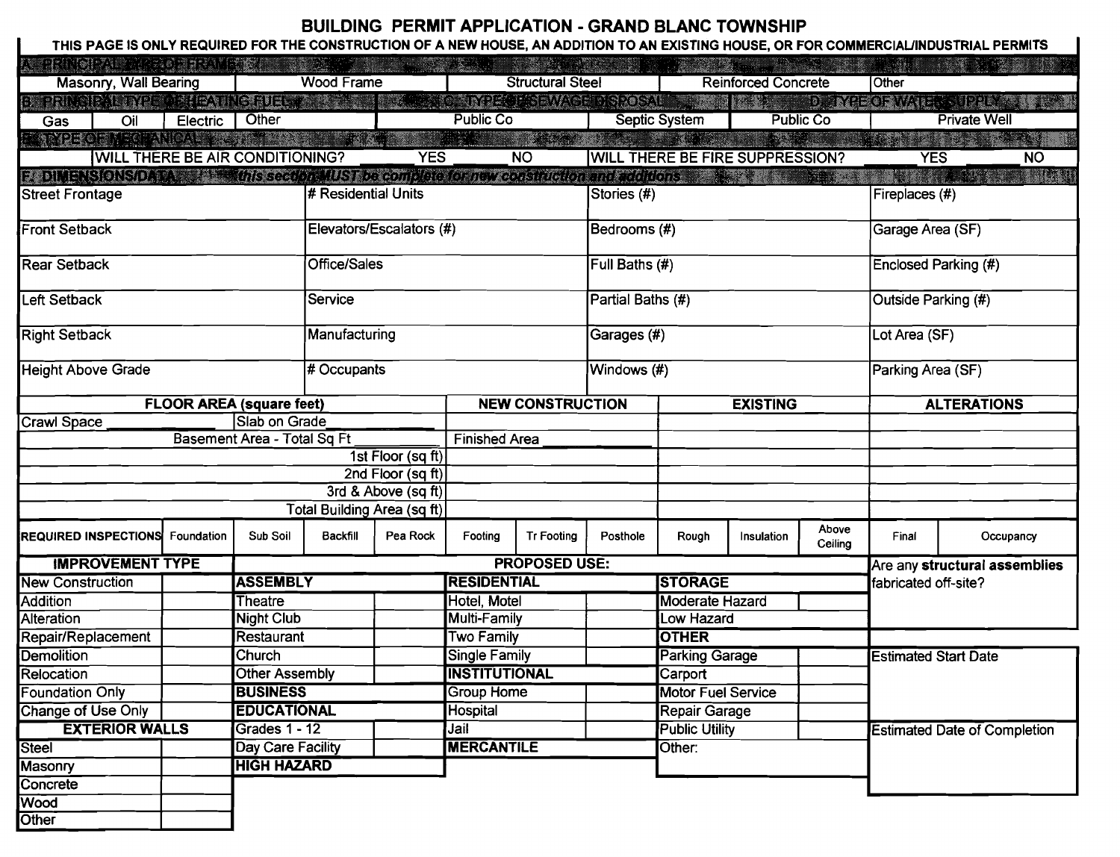# BUILDING PERMIT APPLICATION - GRAND BLANC TOWNSHIP

| THIS PAGE IS ONLY REQUIRED FOR THE CONSTRUCTION OF A NEW HOUSE, AN ADDITION TO AN EXISTING HOUSE, OR FOR COMMERCIAL/INDUSTRIAL PERMITS                                                                                         |                                                   |                             |                                                                                                                                                                                                                                |                                |                                            |                            |                   |                                        |                    |                                     |                      |                               |              |
|--------------------------------------------------------------------------------------------------------------------------------------------------------------------------------------------------------------------------------|---------------------------------------------------|-----------------------------|--------------------------------------------------------------------------------------------------------------------------------------------------------------------------------------------------------------------------------|--------------------------------|--------------------------------------------|----------------------------|-------------------|----------------------------------------|--------------------|-------------------------------------|----------------------|-------------------------------|--------------|
| AT THE THE TABLE IS A LIMIT OF THE TABLE OF THE TABLE OF THE TABLE OF THE TABLE OF THE TABLE                                                                                                                                   |                                                   |                             | and the second control of the second second second second second second second second second second second second second second second second second second second second second second second second second second second sec |                                |                                            | <b>STATISTICS</b>          |                   | <u>a shekara</u>                       |                    |                                     |                      |                               |              |
|                                                                                                                                                                                                                                | <b>Masonry, Wall Bearing</b><br><b>Wood Frame</b> |                             | <b>Structural Steel</b>                                                                                                                                                                                                        |                                |                                            | <b>Reinforced Concrete</b> |                   |                                        | 10ther             |                                     |                      |                               |              |
| BI PRIMENT POSTEATIVE RUE, A PERSON DE L'ARRE MAGE DI MONTE DE L'ARRE DE METODIA (EL SUPERISTE DE L'                                                                                                                           |                                                   |                             |                                                                                                                                                                                                                                |                                |                                            |                            |                   |                                        |                    |                                     |                      |                               |              |
| Oil<br>Gas                                                                                                                                                                                                                     | <b>Electric</b>                                   | Other                       |                                                                                                                                                                                                                                |                                | <b>Public Co</b>                           |                            |                   | Septic System                          |                    | <b>Public Co</b>                    |                      | <b>Private Well</b>           |              |
| EN NYE OF NEOFANIAN BESTE DE STATISTIKE DIT AFRIKA DI SAMA DI SAMA DI ANNIBULI DI STATISTIKE DI SAMA DI SAMA D                                                                                                                 |                                                   |                             |                                                                                                                                                                                                                                |                                |                                            |                            |                   |                                        |                    |                                     |                      |                               |              |
| <b>WILL THERE BE AIR CONDITIONING?</b>                                                                                                                                                                                         |                                                   |                             |                                                                                                                                                                                                                                | <b>YES</b>                     |                                            | $\overline{N}$             |                   | <b>WILL THERE BE FIRE SUPPRESSION?</b> |                    |                                     | <b>YES</b>           |                               | <b>NO</b>    |
| B. DIMENSIONSIDARA BER MINIS Seculo reMUST De complete for new construction and additions of the security and a security of the security of the second security of the second security of the second security of the second se |                                                   |                             |                                                                                                                                                                                                                                |                                |                                            |                            |                   |                                        |                    |                                     |                      |                               | <b>RACIO</b> |
| <b>Street Frontage</b>                                                                                                                                                                                                         |                                                   |                             | # Residential Units                                                                                                                                                                                                            |                                |                                            |                            | Stories (#)       |                                        |                    |                                     | Fireplaces (#)       |                               |              |
|                                                                                                                                                                                                                                |                                                   |                             |                                                                                                                                                                                                                                |                                |                                            |                            |                   |                                        |                    |                                     |                      |                               |              |
| <b>Front Setback</b>                                                                                                                                                                                                           |                                                   |                             |                                                                                                                                                                                                                                | Elevators/Escalators (#)       | Bedrooms (#)                               |                            |                   |                                        |                    | Garage Area (SF)                    |                      |                               |              |
|                                                                                                                                                                                                                                |                                                   |                             |                                                                                                                                                                                                                                |                                |                                            |                            |                   |                                        |                    |                                     |                      |                               |              |
| <b>Rear Setback</b>                                                                                                                                                                                                            |                                                   |                             | <b>Office/Sales</b>                                                                                                                                                                                                            |                                |                                            |                            | Full Baths (#)    |                                        |                    |                                     | Enclosed Parking (#) |                               |              |
| <b>Left Setback</b>                                                                                                                                                                                                            |                                                   |                             | Service                                                                                                                                                                                                                        |                                |                                            |                            | Partial Baths (#) |                                        |                    |                                     | Outside Parking (#)  |                               |              |
|                                                                                                                                                                                                                                |                                                   |                             |                                                                                                                                                                                                                                |                                |                                            |                            |                   |                                        |                    |                                     |                      |                               |              |
| <b>Right Setback</b>                                                                                                                                                                                                           |                                                   |                             | Manufacturing                                                                                                                                                                                                                  |                                |                                            |                            | Garages (#)       |                                        |                    |                                     | Lot Area (SF)        |                               |              |
|                                                                                                                                                                                                                                |                                                   |                             |                                                                                                                                                                                                                                |                                |                                            |                            |                   |                                        |                    |                                     |                      |                               |              |
| <b>Height Above Grade</b>                                                                                                                                                                                                      |                                                   |                             | # Occupants                                                                                                                                                                                                                    |                                |                                            |                            | Windows (#)       |                                        |                    | Parking Area (SF)                   |                      |                               |              |
|                                                                                                                                                                                                                                |                                                   |                             |                                                                                                                                                                                                                                |                                |                                            |                            |                   |                                        |                    |                                     |                      |                               |              |
|                                                                                                                                                                                                                                | <b>FLOOR AREA (square feet)</b>                   |                             |                                                                                                                                                                                                                                |                                | <b>NEW CONSTRUCTION</b><br><b>EXISTING</b> |                            |                   |                                        | <b>ALTERATIONS</b> |                                     |                      |                               |              |
| Crawl Space                                                                                                                                                                                                                    |                                                   | Slab on Grade               |                                                                                                                                                                                                                                |                                |                                            |                            |                   |                                        |                    |                                     |                      |                               |              |
|                                                                                                                                                                                                                                |                                                   | Basement Area - Total Sq Ft |                                                                                                                                                                                                                                |                                | <b>Finished Area</b>                       |                            |                   |                                        |                    |                                     |                      |                               |              |
|                                                                                                                                                                                                                                |                                                   |                             |                                                                                                                                                                                                                                | 1st Floor (sq ft)              |                                            |                            |                   |                                        |                    |                                     |                      |                               |              |
|                                                                                                                                                                                                                                |                                                   |                             |                                                                                                                                                                                                                                | $\overline{2nd}$ Floor (sq ft) |                                            |                            |                   |                                        |                    |                                     |                      |                               |              |
|                                                                                                                                                                                                                                |                                                   |                             |                                                                                                                                                                                                                                | 3rd & Above $(sqft)$           |                                            |                            |                   |                                        |                    |                                     |                      |                               |              |
|                                                                                                                                                                                                                                |                                                   |                             | Total Building Area (sq ft)                                                                                                                                                                                                    |                                |                                            |                            |                   |                                        |                    |                                     |                      |                               |              |
| <b>REQUIRED INSPECTIONS</b> Foundation                                                                                                                                                                                         |                                                   | Sub Soil                    | <b>Backfill</b>                                                                                                                                                                                                                | Pea Rock                       | Footing                                    | <b>Tr Footing</b>          | Posthole          | Rough                                  | Insulation         | Above<br>Ceiling                    | Final                | Occupancy                     |              |
| <b>IMPROVEMENT TYPE</b>                                                                                                                                                                                                        |                                                   |                             |                                                                                                                                                                                                                                |                                |                                            | <b>PROPOSED USE:</b>       |                   |                                        |                    |                                     |                      | Are any structural assemblies |              |
| <b>New Construction</b>                                                                                                                                                                                                        |                                                   | <b>ASSEMBLY</b>             |                                                                                                                                                                                                                                |                                | <b>RESIDENTIAL</b>                         |                            | <b>STORAGE</b>    |                                        |                    | fabricated off-site?                |                      |                               |              |
| <b>Addition</b>                                                                                                                                                                                                                |                                                   | <b>Theatre</b>              |                                                                                                                                                                                                                                |                                | Hotel, Motel                               |                            |                   | <b>Moderate Hazard</b>                 |                    |                                     |                      |                               |              |
| Alteration                                                                                                                                                                                                                     |                                                   | <b>Night Club</b>           |                                                                                                                                                                                                                                |                                | Multi-Family                               |                            |                   | Low Hazard                             |                    |                                     |                      |                               |              |
| Repair/Replacement                                                                                                                                                                                                             |                                                   | Restaurant                  |                                                                                                                                                                                                                                |                                | <b>Two Family</b>                          |                            |                   | <b>OTHER</b>                           |                    |                                     |                      |                               |              |
| <b>Demolition</b>                                                                                                                                                                                                              |                                                   | Church                      |                                                                                                                                                                                                                                |                                | Single Family                              |                            |                   | <b>Parking Garage</b>                  |                    | <b>Estimated Start Date</b>         |                      |                               |              |
| Relocation                                                                                                                                                                                                                     |                                                   | Other Assembly              |                                                                                                                                                                                                                                |                                | <b>INSTITUTIONAL</b>                       |                            |                   | Carport                                |                    |                                     |                      |                               |              |
| <b>Foundation Only</b>                                                                                                                                                                                                         |                                                   | <b>BUSINESS</b>             |                                                                                                                                                                                                                                |                                | <b>Group Home</b>                          |                            |                   | <b>Motor Fuel Service</b>              |                    |                                     |                      |                               |              |
| Change of Use Only                                                                                                                                                                                                             |                                                   | <b>EDUCATIONAL</b>          |                                                                                                                                                                                                                                |                                | Hospital                                   |                            |                   | Repair Garage                          |                    |                                     |                      |                               |              |
| <b>EXTERIOR WALLS</b>                                                                                                                                                                                                          |                                                   | Grades $1 - 12$             |                                                                                                                                                                                                                                |                                | Jail                                       |                            |                   | <b>Public Utility</b>                  |                    | <b>Estimated Date of Completion</b> |                      |                               |              |
| <b>Steel</b>                                                                                                                                                                                                                   |                                                   | Day Care Facility           |                                                                                                                                                                                                                                |                                | <b>MERCANTILE</b>                          |                            | Other:            |                                        |                    |                                     |                      |                               |              |
| Masonry                                                                                                                                                                                                                        |                                                   | <b>HIGH HAZARD</b>          |                                                                                                                                                                                                                                |                                |                                            |                            |                   |                                        |                    |                                     |                      |                               |              |
| Concrete                                                                                                                                                                                                                       |                                                   |                             |                                                                                                                                                                                                                                |                                |                                            |                            |                   |                                        |                    |                                     |                      |                               |              |
| <b>Wood</b>                                                                                                                                                                                                                    |                                                   |                             |                                                                                                                                                                                                                                |                                |                                            |                            |                   |                                        |                    |                                     |                      |                               |              |
| Other                                                                                                                                                                                                                          |                                                   |                             |                                                                                                                                                                                                                                |                                |                                            |                            |                   |                                        |                    |                                     |                      |                               |              |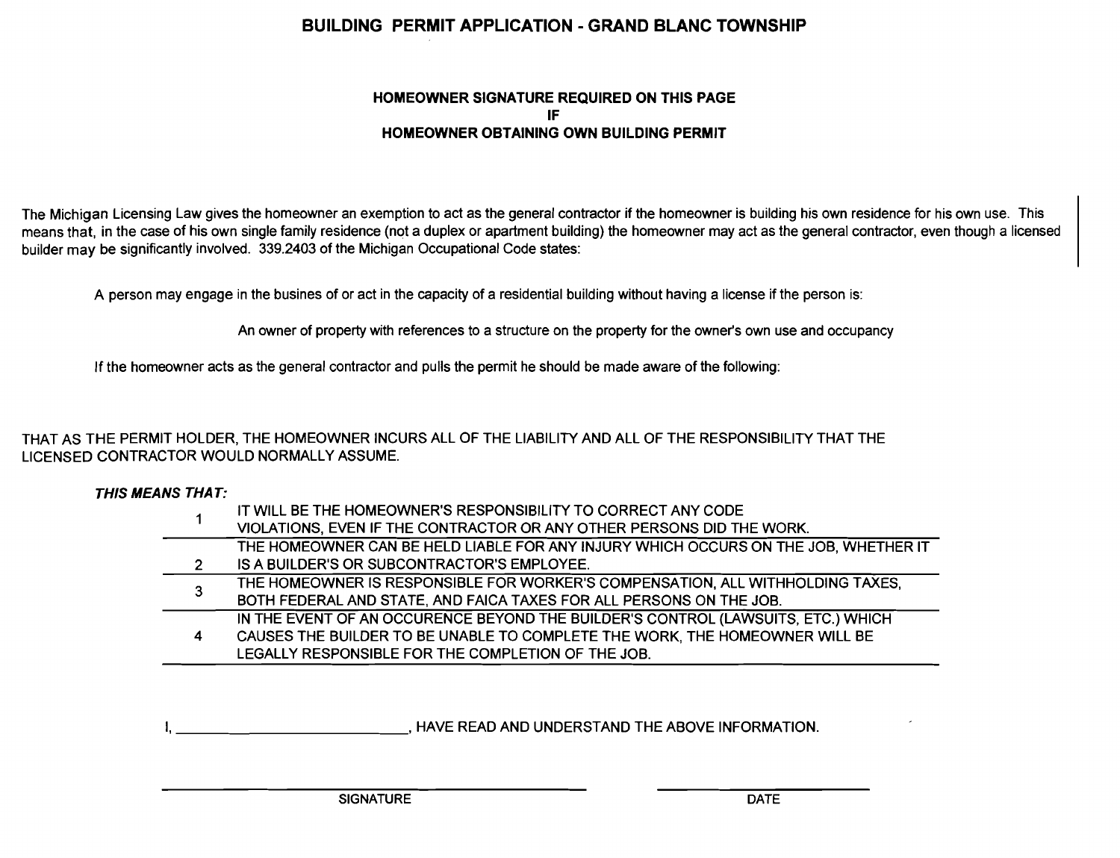## BUILDING PERMIT APPLICATION - GRAND BLANC TOWNSHIP

#### HOMEOWNER SIGNATURE REQUIRED ON THIS PAGE IF HOMEOWNER OBTAINING OWN BUILDING PERMIT

The Michigan Licensing Law gives the homeowner an exemption to act as the general contractor if the homeowner is building his own residence for his own use. This means that, in the case of his own single family residence (not a duplex or apartment building) the homeowner may act as the general contractor, even though a licensed builder may be significantly involved. 339.2403 of the Michigan Occupational Code states:

A person may engage in the busines of or act in the capacity of a residential building without having a license if the person is:

An owner of property with references to a structure on the property for the owner's own use and occupancy

If the homeowner acts as the general contractor and pulls the permit he should be made aware of the following:

THAT AS THE PERMIT HOLDER, THE HOMEOWNER INCURS ALL OF THE LIABILITY AND ALL OF THE RESPONSIBILITY THAT THE LICENSED CONTRACTOR WOULD NORMALLY ASSUME.

THIS MEANS THAT:

|   | IT WILL BE THE HOMEOWNER'S RESPONSIBILITY TO CORRECT ANY CODE                       |
|---|-------------------------------------------------------------------------------------|
|   | VIOLATIONS, EVEN IF THE CONTRACTOR OR ANY OTHER PERSONS DID THE WORK.               |
|   | THE HOMEOWNER CAN BE HELD LIABLE FOR ANY INJURY WHICH OCCURS ON THE JOB, WHETHER IT |
| 2 | IS A BUILDER'S OR SUBCONTRACTOR'S EMPLOYEE.                                         |
| 3 | THE HOMEOWNER IS RESPONSIBLE FOR WORKER'S COMPENSATION, ALL WITHHOLDING TAXES,      |
|   | BOTH FEDERAL AND STATE, AND FAICA TAXES FOR ALL PERSONS ON THE JOB.                 |
|   | IN THE EVENT OF AN OCCURENCE BEYOND THE BUILDER'S CONTROL (LAWSUITS, ETC.) WHICH    |
| 4 | CAUSES THE BUILDER TO BE UNABLE TO COMPLETE THE WORK, THE HOMEOWNER WILL BE         |
|   | LEGALLY RESPONSIBLE FOR THE COMPLETION OF THE JOB.                                  |

HAVE READ AND UNDERSTAND THE ABOVE INFORMATION.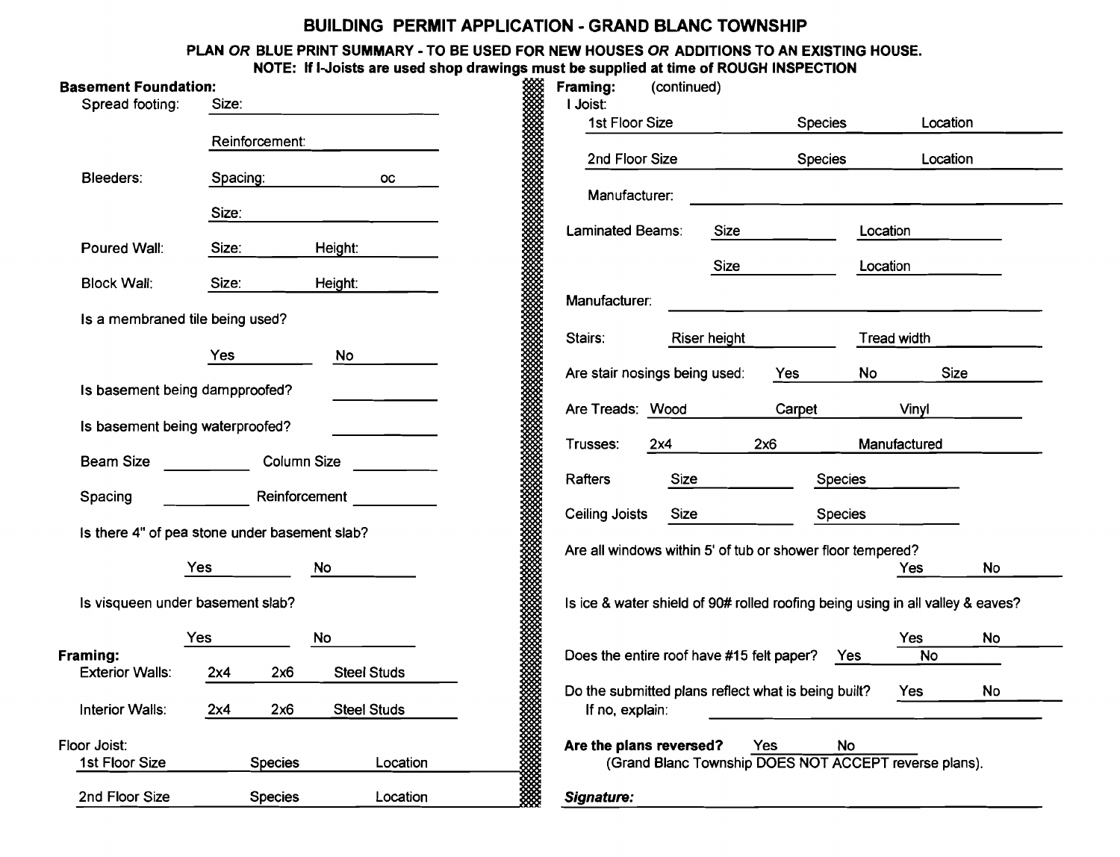### BUILDING PERMIT APPLICATION - GRAND BLANC TOWNSHIP

PLAN *OR* BLUE PRINT SUMMARY - TO BE USED FOR NEW HOUSES *OR* ADDITIONS TO AN EXISTING HOUSE.

|                                 |                                               |                    | NOTE: If I-Joists are used shop drawings must be supplied at time of ROUGH INSPECTION                                                                                      |
|---------------------------------|-----------------------------------------------|--------------------|----------------------------------------------------------------------------------------------------------------------------------------------------------------------------|
| <b>Basement Foundation:</b>     |                                               |                    | Framing:<br>(continued)                                                                                                                                                    |
| Spread footing:                 | Size:                                         |                    | I Joist:                                                                                                                                                                   |
|                                 | Reinforcement:                                |                    | 1st Floor Size<br><b>Species</b><br>Location                                                                                                                               |
|                                 |                                               |                    | 2nd Floor Size<br><b>Species</b><br>Location                                                                                                                               |
| Bleeders:                       | Spacing:                                      | <b>OC</b>          |                                                                                                                                                                            |
|                                 | Size:                                         |                    | Manufacturer:                                                                                                                                                              |
|                                 |                                               |                    | Laminated Beams:<br>Size<br>Location                                                                                                                                       |
| Poured Wall:                    | Size:                                         | Height:            |                                                                                                                                                                            |
| <b>Block Wall:</b>              | Size:                                         | Height:            | Size<br>Location                                                                                                                                                           |
|                                 |                                               |                    | Manufacturer:                                                                                                                                                              |
| Is a membraned tile being used? |                                               |                    |                                                                                                                                                                            |
|                                 |                                               |                    | Stairs:<br>Riser height<br>Tread width                                                                                                                                     |
|                                 | Yes                                           | <b>No</b>          | Are stair nosings being used:<br>Size<br><b>No</b><br>Yes                                                                                                                  |
| Is basement being dampproofed?  |                                               |                    |                                                                                                                                                                            |
|                                 |                                               |                    | Are Treads: Wood<br>Carpet<br>Vinyl                                                                                                                                        |
| Is basement being waterproofed? |                                               |                    | 2x6<br>Manufactured<br>Trusses:<br>2x4                                                                                                                                     |
| <b>Beam Size</b>                |                                               | Column Size        |                                                                                                                                                                            |
|                                 |                                               |                    | Size<br>Rafters<br>Species                                                                                                                                                 |
| Spacing                         |                                               | Reinforcement      | <b>Size</b><br><b>Ceiling Joists</b><br><b>Species</b>                                                                                                                     |
|                                 | Is there 4" of pea stone under basement slab? |                    |                                                                                                                                                                            |
|                                 |                                               |                    | Are all windows within 5' of tub or shower floor tempered?                                                                                                                 |
|                                 | <b>Yes</b>                                    | <b>No</b>          | <b>No</b><br>Yes                                                                                                                                                           |
|                                 | Is visqueen under basement slab?              |                    | Is ice & water shield of 90# rolled roofing being using in all valley & eaves?                                                                                             |
|                                 |                                               |                    |                                                                                                                                                                            |
| Framing:                        | Yes                                           | No                 | <b>No</b><br>Yes<br>Does the entire roof have #15 felt paper?<br><b>No</b><br>Yes                                                                                          |
| <b>Exterior Walls:</b>          | 2x6<br>2x4                                    | <b>Steel Studs</b> |                                                                                                                                                                            |
|                                 |                                               |                    | Do the submitted plans reflect what is being built?<br>No<br>Yes                                                                                                           |
| <b>Interior Walls:</b>          | 2x6<br>2x4                                    | <b>Steel Studs</b> | If no, explain:                                                                                                                                                            |
| Floor Joist:                    |                                               |                    | oman a contractor a contractor a contractor a contractor a contractor a contractor a contractor a contractor a<br>Taxonomía<br>Are the plans reversed?<br>Yes<br><b>No</b> |
| 1st Floor Size                  | <b>Species</b>                                | Location           | (Grand Blanc Township DOES NOT ACCEPT reverse plans).                                                                                                                      |
|                                 |                                               |                    |                                                                                                                                                                            |
| 2nd Floor Size                  | <b>Species</b>                                | Location           | Signature:                                                                                                                                                                 |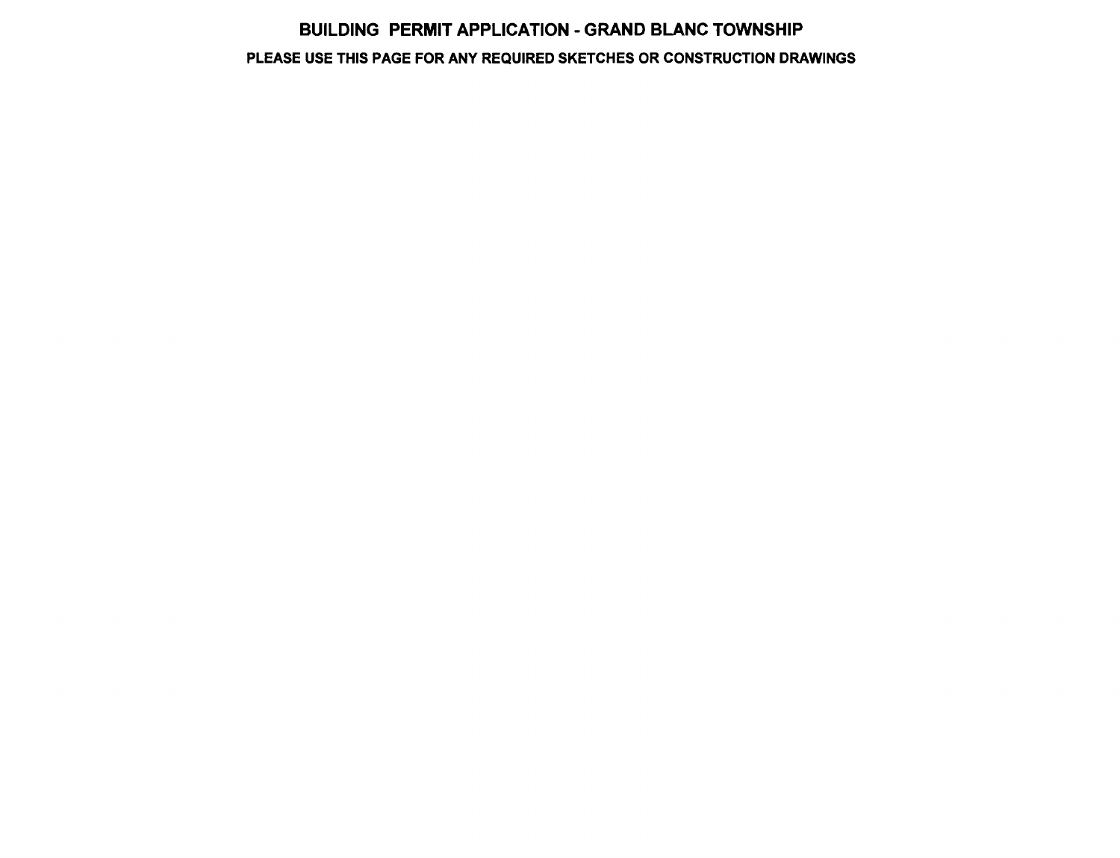# BUILDING PERMIT APPLICATION - GRAND BLANC TOWNSHIP PLEASE USE THIS PAGE FOR ANY REQUIRED SKETCHES OR CONSTRUCTION DRAWINGS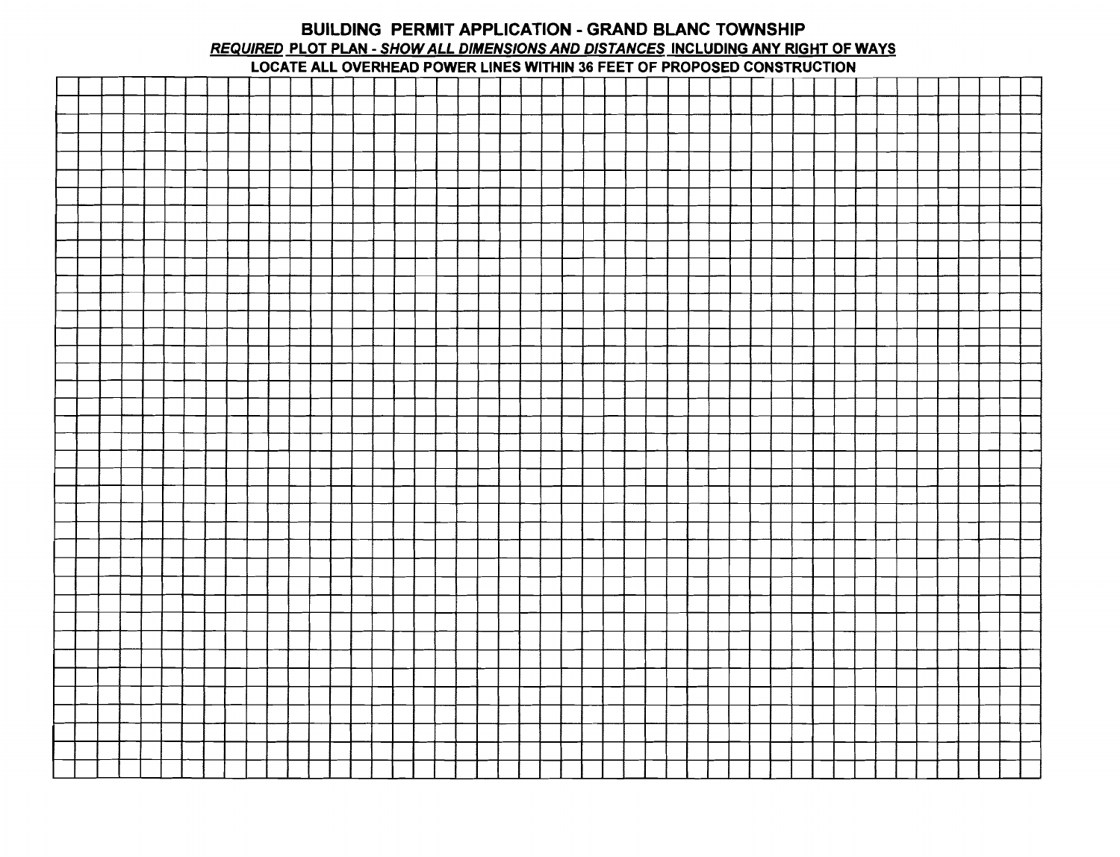#### BUILDING PERMIT APPLICATION - GRAND BLANC TOWNSHIP REQUIRED PLOT PLAN - SHOWALL DIMENSIONS AND DISTANCES INCLUDING ANY RIGHT OF WAYS LOCATE ALL OVERHEAD POWER LINES WITHIN 36 FEET OF PROPOSED CONSTRUCTION